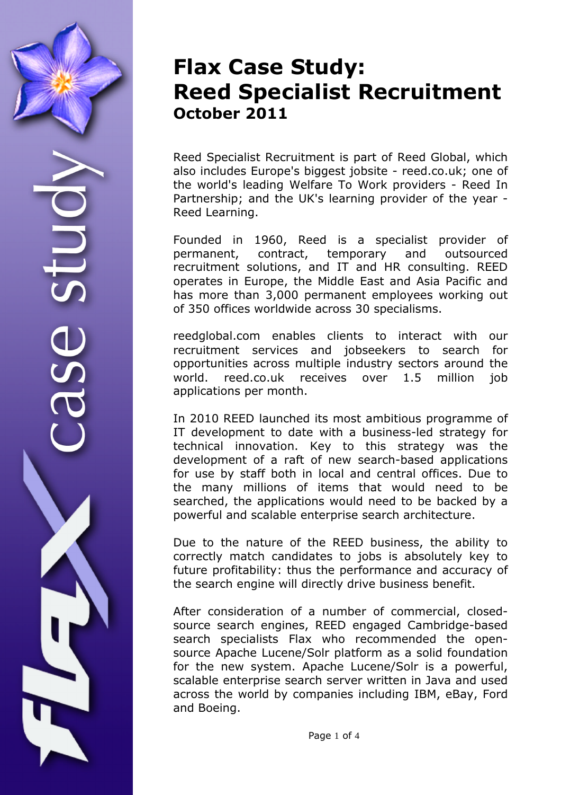## **Flax Case Study: Reed Specialist Recruitment October 2011**

Reed Specialist Recruitment is part of Reed Global, which also includes Europe's biggest jobsite - reed.co.uk; one of the world's leading Welfare To Work providers - Reed In Partnership; and the UK's learning provider of the year - Reed Learning.

Founded in 1960, Reed is a specialist provider of permanent, contract, temporary and outsourced recruitment solutions, and IT and HR consulting. REED operates in Europe, the Middle East and Asia Pacific and has more than 3,000 permanent employees working out of 350 offices worldwide across 30 specialisms.

reedglobal.com enables clients to interact with our recruitment services and jobseekers to search for opportunities across multiple industry sectors around the world. reed.co.uk receives over 1.5 million job applications per month.

In 2010 REED launched its most ambitious programme of IT development to date with a business-led strategy for technical innovation. Key to this strategy was the development of a raft of new search-based applications for use by staff both in local and central offices. Due to the many millions of items that would need to be searched, the applications would need to be backed by a powerful and scalable enterprise search architecture.

Due to the nature of the REED business, the ability to correctly match candidates to jobs is absolutely key to future profitability: thus the performance and accuracy of the search engine will directly drive business benefit.

After consideration of a number of commercial, closedsource search engines, REED engaged Cambridge-based search specialists Flax who recommended the opensource Apache Lucene/Solr platform as a solid foundation for the new system. Apache Lucene/Solr is a powerful, scalable enterprise search server written in Java and used across the world by companies including IBM, eBay, Ford and Boeing.

Page 1 of 4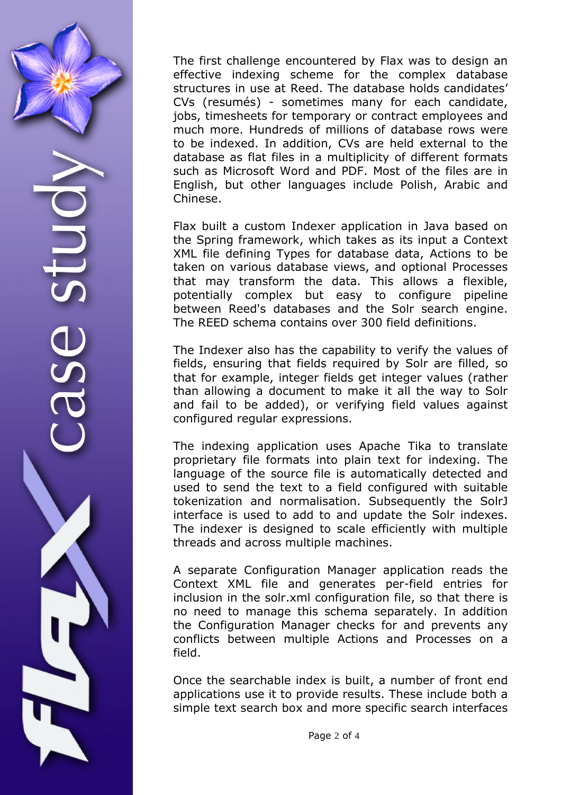The first challenge encountered by Flax was to design an effective indexing scheme for the complex database structures in use at Reed. The database holds candidates' CVs (resumés) - sometimes many for each candidate, jobs, timesheets for temporary or contract employees and much more. Hundreds of millions of database rows were to be indexed. In addition, CVs are held external to the database as flat files in a multiplicity of different formats such as Microsoft Word and PDF. Most of the files are in English, but other languages include Polish, Arabic and Chinese.

Flax built a custom Indexer application in Java based on the Spring framework, which takes as its input a Context XML file defining Types for database data, Actions to be taken on various database views, and optional Processes that may transform the data. This allows a flexible, potentially complex but easy to configure pipeline between Reed's databases and the Solr search engine. The REED schema contains over 300 field definitions.

The Indexer also has the capability to verify the values of fields, ensuring that fields required by Solr are filled, so that for example, integer fields get integer values (rather than allowing a document to make it all the way to Solr and fail to be added), or verifying field values against configured regular expressions.

The indexing application uses Apache Tika to translate proprietary file formats into plain text for indexing. The language of the source file is automatically detected and used to send the text to a field configured with suitable tokenization and normalisation. Subsequently the SolrJ interface is used to add to and update the Solr indexes. The indexer is designed to scale efficiently with multiple threads and across multiple machines.

A separate Configuration Manager application reads the Context XML file and generates per-field entries for inclusion in the solr.xml configuration file, so that there is no need to manage this schema separately. In addition the Configuration Manager checks for and prevents any conflicts between multiple Actions and Processes on a field.

Once the searchable index is built, a number of front end applications use it to provide results. These include both a simple text search box and more specific search interfaces

Page 2 of 4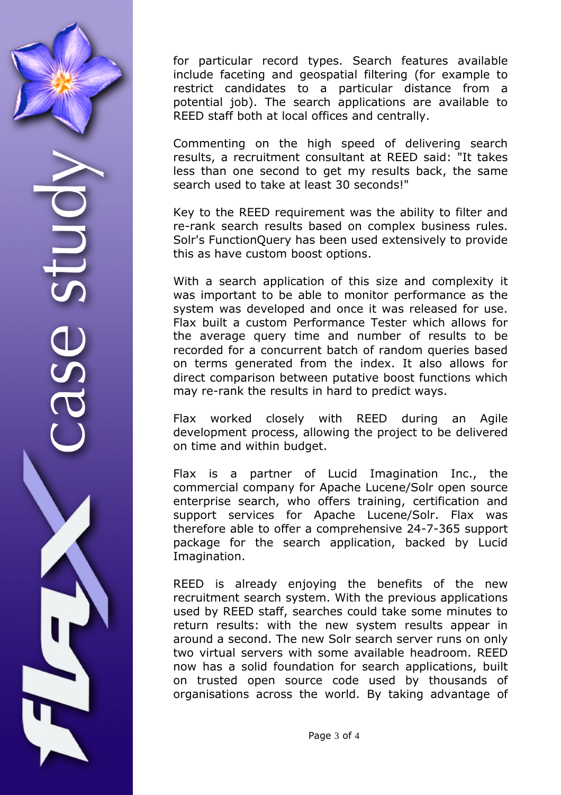for particular record types. Search features available include faceting and geospatial filtering (for example to restrict candidates to a particular distance from a potential job). The search applications are available to REED staff both at local offices and centrally.

Commenting on the high speed of delivering search results, a recruitment consultant at REED said: "It takes less than one second to get my results back, the same search used to take at least 30 seconds!"

Key to the REED requirement was the ability to filter and re-rank search results based on complex business rules. Solr's FunctionQuery has been used extensively to provide this as have custom boost options.

With a search application of this size and complexity it was important to be able to monitor performance as the system was developed and once it was released for use. Flax built a custom Performance Tester which allows for the average query time and number of results to be recorded for a concurrent batch of random queries based on terms generated from the index. It also allows for direct comparison between putative boost functions which may re-rank the results in hard to predict ways.

Flax worked closely with REED during an Agile development process, allowing the project to be delivered on time and within budget.

Flax is a partner of Lucid Imagination Inc., the commercial company for Apache Lucene/Solr open source enterprise search, who offers training, certification and support services for Apache Lucene/Solr. Flax was therefore able to offer a comprehensive 24-7-365 support package for the search application, backed by Lucid Imagination.

REED is already enjoying the benefits of the new recruitment search system. With the previous applications used by REED staff, searches could take some minutes to return results: with the new system results appear in around a second. The new Solr search server runs on only two virtual servers with some available headroom. REED now has a solid foundation for search applications, built on trusted open source code used by thousands of organisations across the world. By taking advantage of

Page 3 of 4